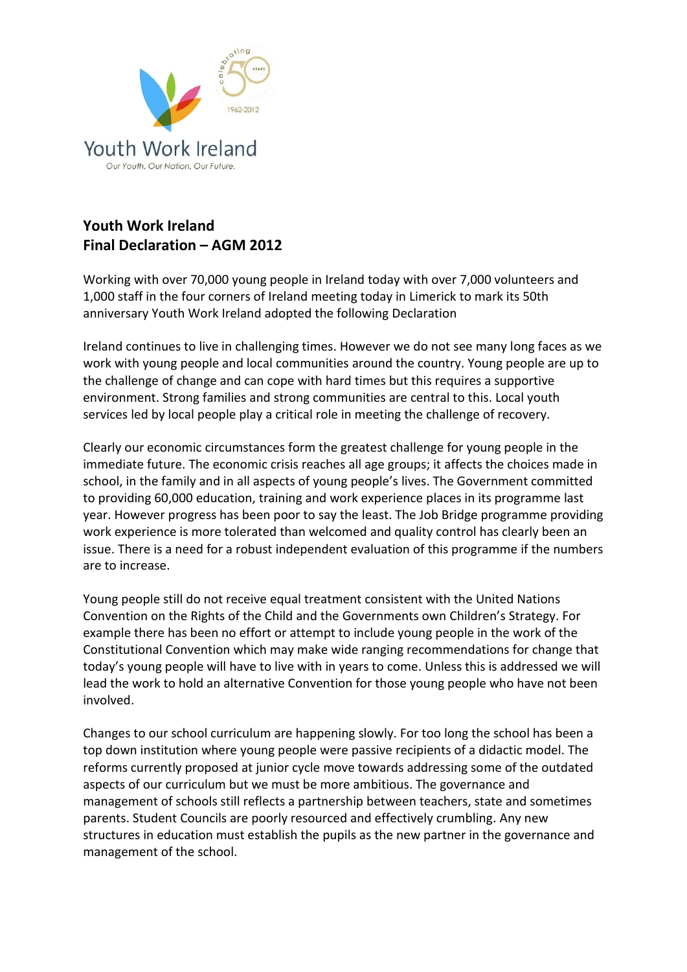

## **Youth Work Ireland Final Declaration – AGM 2012**

Working with over 70,000 young people in Ireland today with over 7,000 volunteers and 1,000 staff in the four corners of Ireland meeting today in Limerick to mark its 50th anniversary Youth Work Ireland adopted the following Declaration

Ireland continues to live in challenging times. However we do not see many long faces as we work with young people and local communities around the country. Young people are up to the challenge of change and can cope with hard times but this requires a supportive environment. Strong families and strong communities are central to this. Local youth services led by local people play a critical role in meeting the challenge of recovery.

Clearly our economic circumstances form the greatest challenge for young people in the immediate future. The economic crisis reaches all age groups; it affects the choices made in school, in the family and in all aspects of young people's lives. The Government committed to providing 60,000 education, training and work experience places in its programme last year. However progress has been poor to say the least. The Job Bridge programme providing work experience is more tolerated than welcomed and quality control has clearly been an issue. There is a need for a robust independent evaluation of this programme if the numbers are to increase.

Young people still do not receive equal treatment consistent with the United Nations Convention on the Rights of the Child and the Governments own Children's Strategy. For example there has been no effort or attempt to include young people in the work of the Constitutional Convention which may make wide ranging recommendations for change that today's young people will have to live with in years to come. Unless this is addressed we will lead the work to hold an alternative Convention for those young people who have not been involved.

Changes to our school curriculum are happening slowly. For too long the school has been a top down institution where young people were passive recipients of a didactic model. The reforms currently proposed at junior cycle move towards addressing some of the outdated aspects of our curriculum but we must be more ambitious. The governance and management of schools still reflects a partnership between teachers, state and sometimes parents. Student Councils are poorly resourced and effectively crumbling. Any new structures in education must establish the pupils as the new partner in the governance and management of the school.